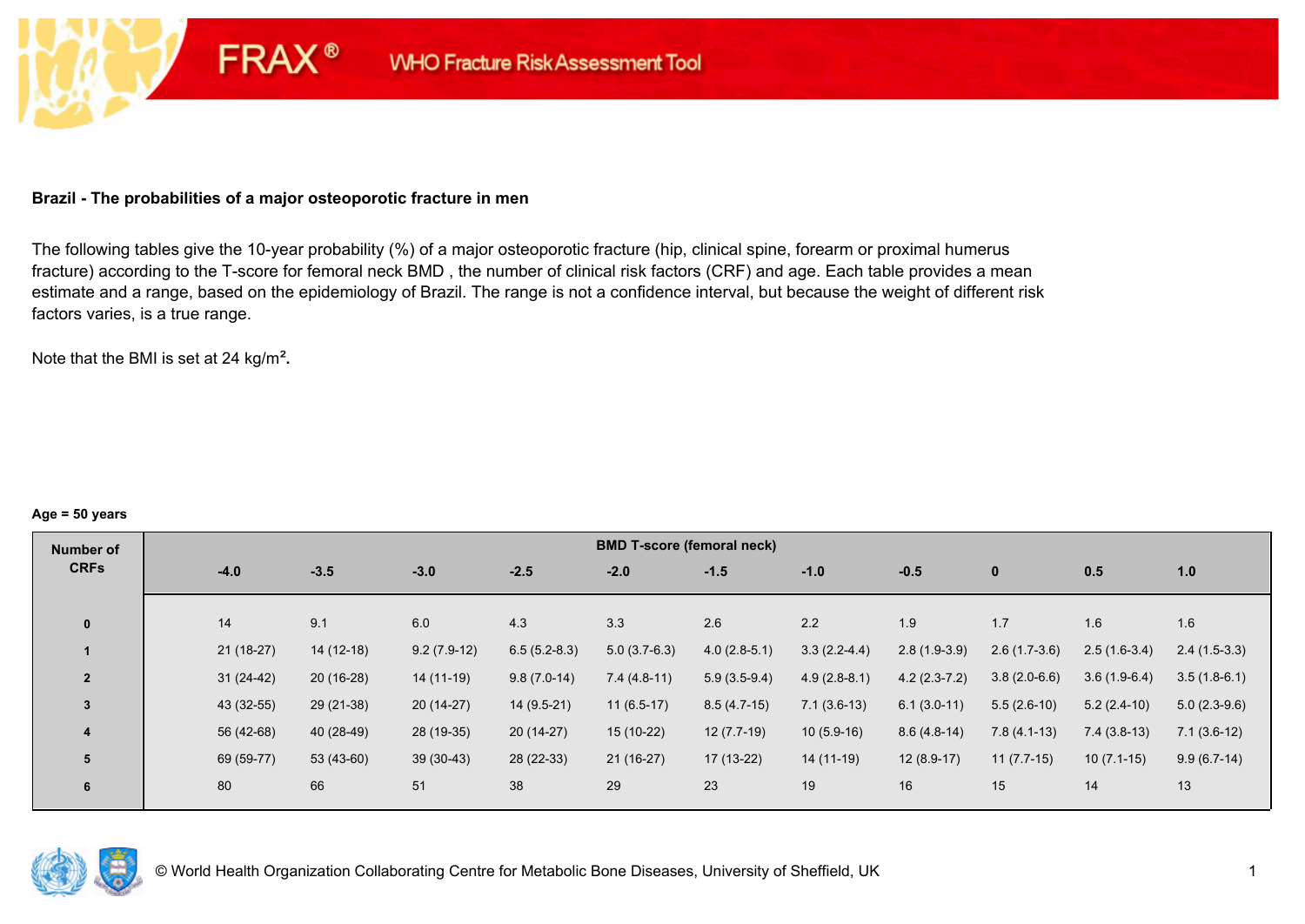## **Brazil - The probabilities of a major osteoporotic fracture in men**

**FRAX®** 

The following tables give the 10-year probability (%) of a major osteoporotic fracture (hip, clinical spine, forearm or proximal humerus fracture) according to the T-score for femoral neck BMD , the number of clinical risk factors (CRF) and age. Each table provides a mean estimate and a range, based on the epidemiology of Brazil. The range is not a confidence interval, but because the weight of different risk factors varies, is a true range.

Note that the BMI is set at 24 kg/m²**.** 

#### **Age = 50 years**

| Number of      |             |             |               |                | <b>BMD T-score (femoral neck)</b> |                |                |                |                |                |                |
|----------------|-------------|-------------|---------------|----------------|-----------------------------------|----------------|----------------|----------------|----------------|----------------|----------------|
| <b>CRFs</b>    | $-4.0$      | $-3.5$      | $-3.0$        | $-2.5$         | $-2.0$                            | $-1.5$         | $-1.0$         | $-0.5$         | $\bf{0}$       | 0.5            | 1.0            |
|                |             |             |               |                |                                   |                |                |                |                |                |                |
| $\mathbf{0}$   | 14          | 9.1         | 6.0           | 4.3            | 3.3                               | 2.6            | 2.2            | 1.9            | 1.7            | 1.6            | 1.6            |
|                | 21 (18-27)  | $14(12-18)$ | $9.2(7.9-12)$ | $6.5(5.2-8.3)$ | $5.0(3.7-6.3)$                    | $4.0(2.8-5.1)$ | $3.3(2.2-4.4)$ | $2.8(1.9-3.9)$ | $2.6(1.7-3.6)$ | $2.5(1.6-3.4)$ | $2.4(1.5-3.3)$ |
| $\overline{2}$ | $31(24-42)$ | $20(16-28)$ | 14 (11-19)    | $9.8(7.0-14)$  | $7.4(4.8-11)$                     | $5.9(3.5-9.4)$ | $4.9(2.8-8.1)$ | $4.2(2.3-7.2)$ | $3.8(2.0-6.6)$ | $3.6(1.9-6.4)$ | $3.5(1.8-6.1)$ |
| $\overline{3}$ | 43 (32-55)  | 29 (21-38)  | $20(14-27)$   | $14(9.5-21)$   | $11(6.5-17)$                      | $8.5(4.7-15)$  | $7.1(3.6-13)$  | $6.1(3.0-11)$  | $5.5(2.6-10)$  | $5.2(2.4-10)$  | $5.0(2.3-9.6)$ |
| 4              | 56 (42-68)  | 40 (28-49)  | 28 (19-35)    | $20(14-27)$    | 15 (10-22)                        | $12(7.7-19)$   | $10(5.9-16)$   | $8.6(4.8-14)$  | $7.8(4.1-13)$  | $7.4(3.8-13)$  | $7.1(3.6-12)$  |
| 5              | 69 (59-77)  | 53 (43-60)  | $39(30-43)$   | 28 (22-33)     | $21(16-27)$                       | $17(13-22)$    | 14 (11-19)     | $12(8.9-17)$   | $11(7.7-15)$   | $10(7.1-15)$   | $9.9(6.7-14)$  |
| 6              | 80          | 66          | 51            | 38             | 29                                | 23             | 19             | 16             | 15             | 14             | 13             |

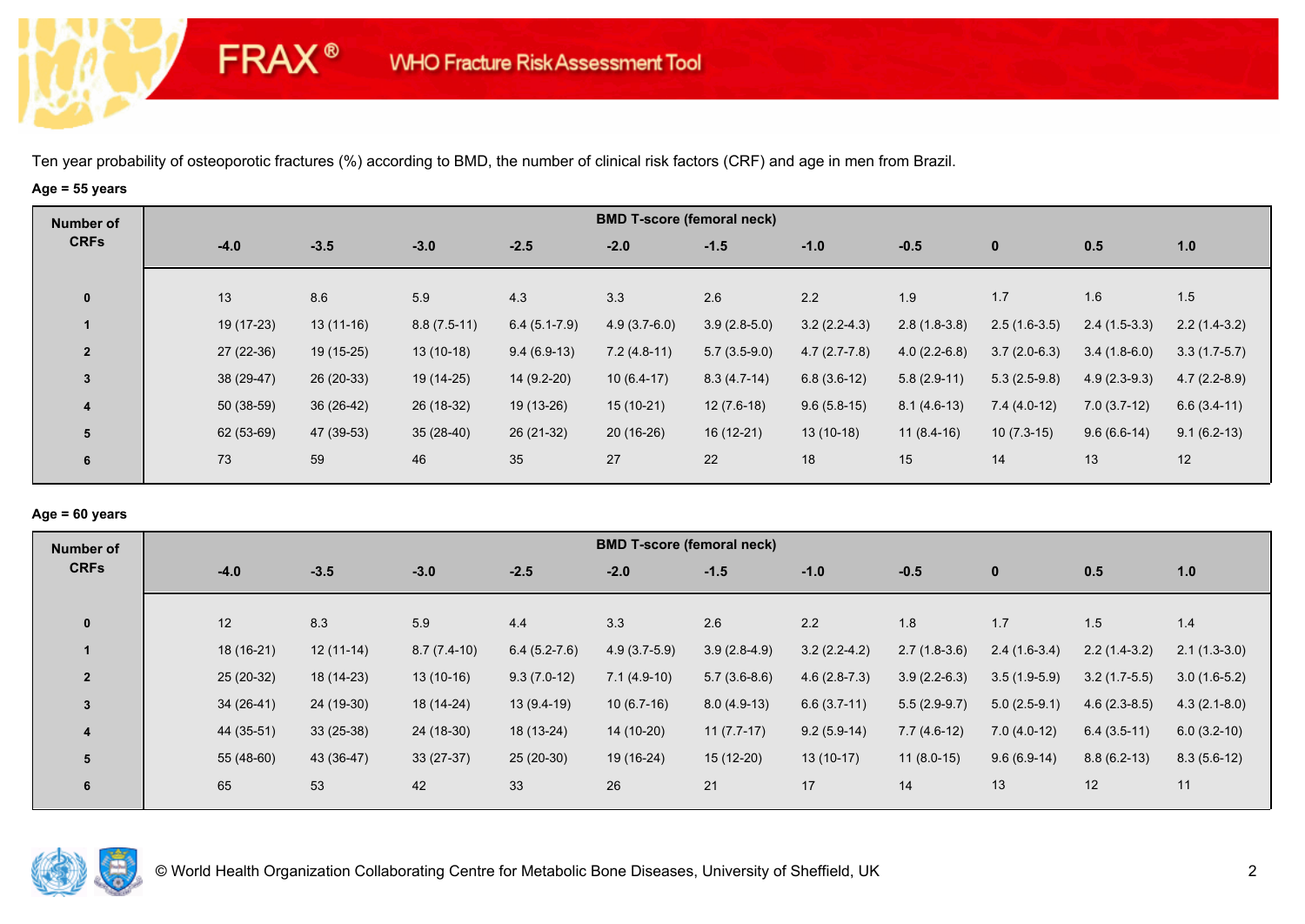# **Age = 55 years**

**FRAX®** 

| Number of      |             |             |               |                | <b>BMD T-score (femoral neck)</b> |                |                |                |                |                |                |
|----------------|-------------|-------------|---------------|----------------|-----------------------------------|----------------|----------------|----------------|----------------|----------------|----------------|
| <b>CRFs</b>    | $-4.0$      | $-3.5$      | $-3.0$        | $-2.5$         | $-2.0$                            | $-1.5$         | $-1.0$         | $-0.5$         | $\bf{0}$       | 0.5            | 1.0            |
| $\mathbf 0$    | 13          | 8.6         | 5.9           | 4.3            | 3.3                               | 2.6            | 2.2            | 1.9            | 1.7            | 1.6            | 1.5            |
|                | 19 (17-23)  | $13(11-16)$ | $8.8(7.5-11)$ | $6.4(5.1-7.9)$ | $4.9(3.7-6.0)$                    | $3.9(2.8-5.0)$ | $3.2(2.2-4.3)$ | $2.8(1.8-3.8)$ | $2.5(1.6-3.5)$ | $2.4(1.5-3.3)$ | $2.2(1.4-3.2)$ |
| $\overline{2}$ | $27(22-36)$ | 19 (15-25)  | $13(10-18)$   | $9.4(6.9-13)$  | $7.2(4.8-11)$                     | $5.7(3.5-9.0)$ | $4.7(2.7-7.8)$ | $4.0(2.2-6.8)$ | $3.7(2.0-6.3)$ | $3.4(1.8-6.0)$ | $3.3(1.7-5.7)$ |
| $\overline{3}$ | 38 (29-47)  | $26(20-33)$ | 19 (14-25)    | 14 (9.2-20)    | $10(6.4-17)$                      | $8.3(4.7-14)$  | $6.8(3.6-12)$  | $5.8(2.9-11)$  | $5.3(2.5-9.8)$ | $4.9(2.3-9.3)$ | $4.7(2.2-8.9)$ |
| 4              | 50 (38-59)  | $36(26-42)$ | 26 (18-32)    | 19 (13-26)     | $15(10-21)$                       | $12(7.6-18)$   | $9.6(5.8-15)$  | $8.1(4.6-13)$  | $7.4(4.0-12)$  | $7.0(3.7-12)$  | $6.6(3.4-11)$  |
| 5              | 62 (53-69)  | 47 (39-53)  | $35(28-40)$   | $26(21-32)$    | $20(16-26)$                       | $16(12-21)$    | $13(10-18)$    | $11(8.4-16)$   | $10(7.3-15)$   | $9.6(6.6-14)$  | $9.1(6.2-13)$  |
| 6              | 73          | 59          | 46            | 35             | 27                                | 22             | 18             | 15             | 14             | 13             | 12             |

## **Age = 60 years**

| Number of               |             |             |               |                | <b>BMD T-score (femoral neck)</b> |                |                |                |                |                |                |
|-------------------------|-------------|-------------|---------------|----------------|-----------------------------------|----------------|----------------|----------------|----------------|----------------|----------------|
| <b>CRFs</b>             | $-4.0$      | $-3.5$      | $-3.0$        | $-2.5$         | $-2.0$                            | $-1.5$         | $-1.0$         | $-0.5$         | $\mathbf{0}$   | 0.5            | 1.0            |
| $\mathbf 0$             | 12          | 8.3         | 5.9           | 4.4            | 3.3                               | 2.6            | 2.2            | 1.8            | 1.7            | 1.5            | 1.4            |
|                         | 18 (16-21)  | $12(11-14)$ | $8.7(7.4-10)$ | $6.4(5.2-7.6)$ | $4.9(3.7-5.9)$                    | $3.9(2.8-4.9)$ | $3.2(2.2-4.2)$ | $2.7(1.8-3.6)$ | $2.4(1.6-3.4)$ | $2.2(1.4-3.2)$ | $2.1(1.3-3.0)$ |
| $\overline{2}$          | $25(20-32)$ | 18 (14-23)  | $13(10-16)$   | $9.3(7.0-12)$  | $7.1(4.9-10)$                     | $5.7(3.6-8.6)$ | $4.6(2.8-7.3)$ | $3.9(2.2-6.3)$ | $3.5(1.9-5.9)$ | $3.2(1.7-5.5)$ | $3.0(1.6-5.2)$ |
| 3                       | $34(26-41)$ | 24 (19-30)  | 18 (14-24)    | $13(9.4-19)$   | $10(6.7-16)$                      | $8.0(4.9-13)$  | $6.6(3.7-11)$  | $5.5(2.9-9.7)$ | $5.0(2.5-9.1)$ | $4.6(2.3-8.5)$ | $4.3(2.1-8.0)$ |
| $\overline{\mathbf{4}}$ | 44 (35-51)  | $33(25-38)$ | 24 (18-30)    | 18 (13-24)     | 14 (10-20)                        | $11(7.7-17)$   | $9.2(5.9-14)$  | $7.7(4.6-12)$  | $7.0(4.0-12)$  | $6.4(3.5-11)$  | $6.0(3.2-10)$  |
| 5                       | $55(48-60)$ | 43 (36-47)  | $33(27-37)$   | $25(20-30)$    | 19 (16-24)                        | $15(12-20)$    | $13(10-17)$    | $11(8.0-15)$   | $9.6(6.9-14)$  | $8.8(6.2-13)$  | $8.3(5.6-12)$  |
| 6                       | 65          | 53          | 42            | 33             | 26                                | 21             | 17             | 14             | 13             | 12             | 11             |

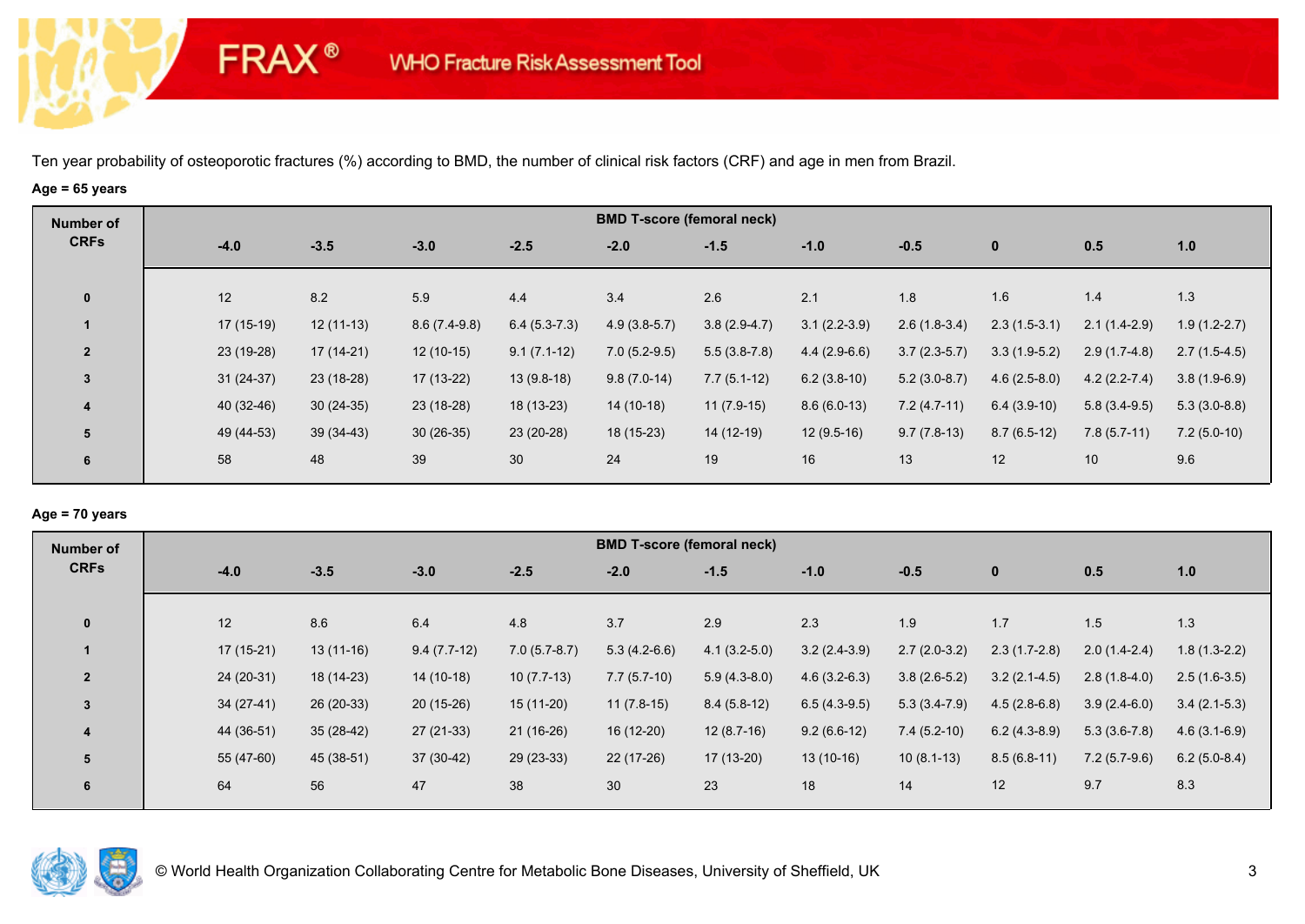# **Age = 65 years**

**FRAX®** 

| Number of               |             |             |                |                 |                | <b>BMD T-score (femoral neck)</b> |                |                |                |                |                |
|-------------------------|-------------|-------------|----------------|-----------------|----------------|-----------------------------------|----------------|----------------|----------------|----------------|----------------|
| <b>CRFs</b>             | $-4.0$      | $-3.5$      | $-3.0$         | $-2.5$          | $-2.0$         | $-1.5$                            | $-1.0$         | $-0.5$         | $\mathbf{0}$   | 0.5            | 1.0            |
|                         |             |             |                |                 |                |                                   |                |                |                |                |                |
| $\bf{0}$                | 12          | 8.2         | 5.9            | 4.4             | 3.4            | 2.6                               | 2.1            | 1.8            | 1.6            | 1.4            | 1.3            |
|                         | $17(15-19)$ | $12(11-13)$ | $8.6(7.4-9.8)$ | $6.4(5.3-7.3)$  | $4.9(3.8-5.7)$ | $3.8(2.9-4.7)$                    | $3.1(2.2-3.9)$ | $2.6(1.8-3.4)$ | $2.3(1.5-3.1)$ | $2.1(1.4-2.9)$ | $1.9(1.2-2.7)$ |
| $\overline{2}$          | 23 (19-28)  | $17(14-21)$ | $12(10-15)$    | $9.1(7.1-12)$   | $7.0(5.2-9.5)$ | $5.5(3.8-7.8)$                    | $4.4(2.9-6.6)$ | $3.7(2.3-5.7)$ | $3.3(1.9-5.2)$ | $2.9(1.7-4.8)$ | $2.7(1.5-4.5)$ |
| $\mathbf{3}$            | $31(24-37)$ | 23 (18-28)  | $17(13-22)$    | $13(9.8-18)$    | $9.8(7.0-14)$  | $7.7(5.1-12)$                     | $6.2(3.8-10)$  | $5.2(3.0-8.7)$ | $4.6(2.5-8.0)$ | $4.2(2.2-7.4)$ | $3.8(1.9-6.9)$ |
| $\overline{\mathbf{4}}$ | 40 (32-46)  | $30(24-35)$ | 23 (18-28)     | 18 (13-23)      | 14 (10-18)     | $11(7.9-15)$                      | $8.6(6.0-13)$  | $7.2(4.7-11)$  | $6.4(3.9-10)$  | $5.8(3.4-9.5)$ | $5.3(3.0-8.8)$ |
| 5                       | 49 (44-53)  | $39(34-43)$ | $30(26-35)$    | 23 (20-28)      | 18 (15-23)     | 14 (12-19)                        | $12(9.5-16)$   | $9.7(7.8-13)$  | $8.7(6.5-12)$  | $7.8(5.7-11)$  | $7.2(5.0-10)$  |
| 6                       | 58          | 48          | 39             | 30 <sup>°</sup> | 24             | 19                                | 16             | 13             | 12             | 10             | 9.6            |
|                         |             |             |                |                 |                |                                   |                |                |                |                |                |

## **Age = 70 years**

| Number of      |             |             |               |                | <b>BMD T-score (femoral neck)</b> |                |                |                |                |                |                |
|----------------|-------------|-------------|---------------|----------------|-----------------------------------|----------------|----------------|----------------|----------------|----------------|----------------|
| <b>CRFs</b>    | $-4.0$      | $-3.5$      | $-3.0$        | $-2.5$         | $-2.0$                            | $-1.5$         | $-1.0$         | $-0.5$         | $\mathbf 0$    | 0.5            | 1.0            |
|                |             |             |               |                |                                   |                |                |                |                |                |                |
| $\mathbf{0}$   | 12          | 8.6         | 6.4           | 4.8            | 3.7                               | 2.9            | 2.3            | 1.9            | 1.7            | 1.5            | 1.3            |
|                | $17(15-21)$ | $13(11-16)$ | $9.4(7.7-12)$ | $7.0(5.7-8.7)$ | $5.3(4.2-6.6)$                    | $4.1(3.2-5.0)$ | $3.2(2.4-3.9)$ | $2.7(2.0-3.2)$ | $2.3(1.7-2.8)$ | $2.0(1.4-2.4)$ | $1.8(1.3-2.2)$ |
| $\overline{2}$ | 24 (20-31)  | 18 (14-23)  | $14(10-18)$   | $10(7.7-13)$   | $7.7(5.7-10)$                     | $5.9(4.3-8.0)$ | $4.6(3.2-6.3)$ | $3.8(2.6-5.2)$ | $3.2(2.1-4.5)$ | $2.8(1.8-4.0)$ | $2.5(1.6-3.5)$ |
| $\overline{3}$ | $34(27-41)$ | $26(20-33)$ | $20(15-26)$   | $15(11-20)$    | $11(7.8-15)$                      | $8.4(5.8-12)$  | $6.5(4.3-9.5)$ | $5.3(3.4-7.9)$ | $4.5(2.8-6.8)$ | $3.9(2.4-6.0)$ | $3.4(2.1-5.3)$ |
| 4              | 44 (36-51)  | $35(28-42)$ | 27 (21-33)    | $21(16-26)$    | 16 (12-20)                        | $12(8.7-16)$   | $9.2(6.6-12)$  | $7.4(5.2-10)$  | $6.2(4.3-8.9)$ | $5.3(3.6-7.8)$ | $4.6(3.1-6.9)$ |
| 5              | 55 (47-60)  | 45 (38-51)  | $37(30-42)$   | $29(23-33)$    | 22 (17-26)                        | $17(13-20)$    | $13(10-16)$    | $10(8.1-13)$   | $8.5(6.8-11)$  | $7.2(5.7-9.6)$ | $6.2(5.0-8.4)$ |
| 6              | 64          | 56          | 47            | 38             | 30                                | 23             | 18             | 14             | 12             | 9.7            | 8.3            |
|                |             |             |               |                |                                   |                |                |                |                |                |                |

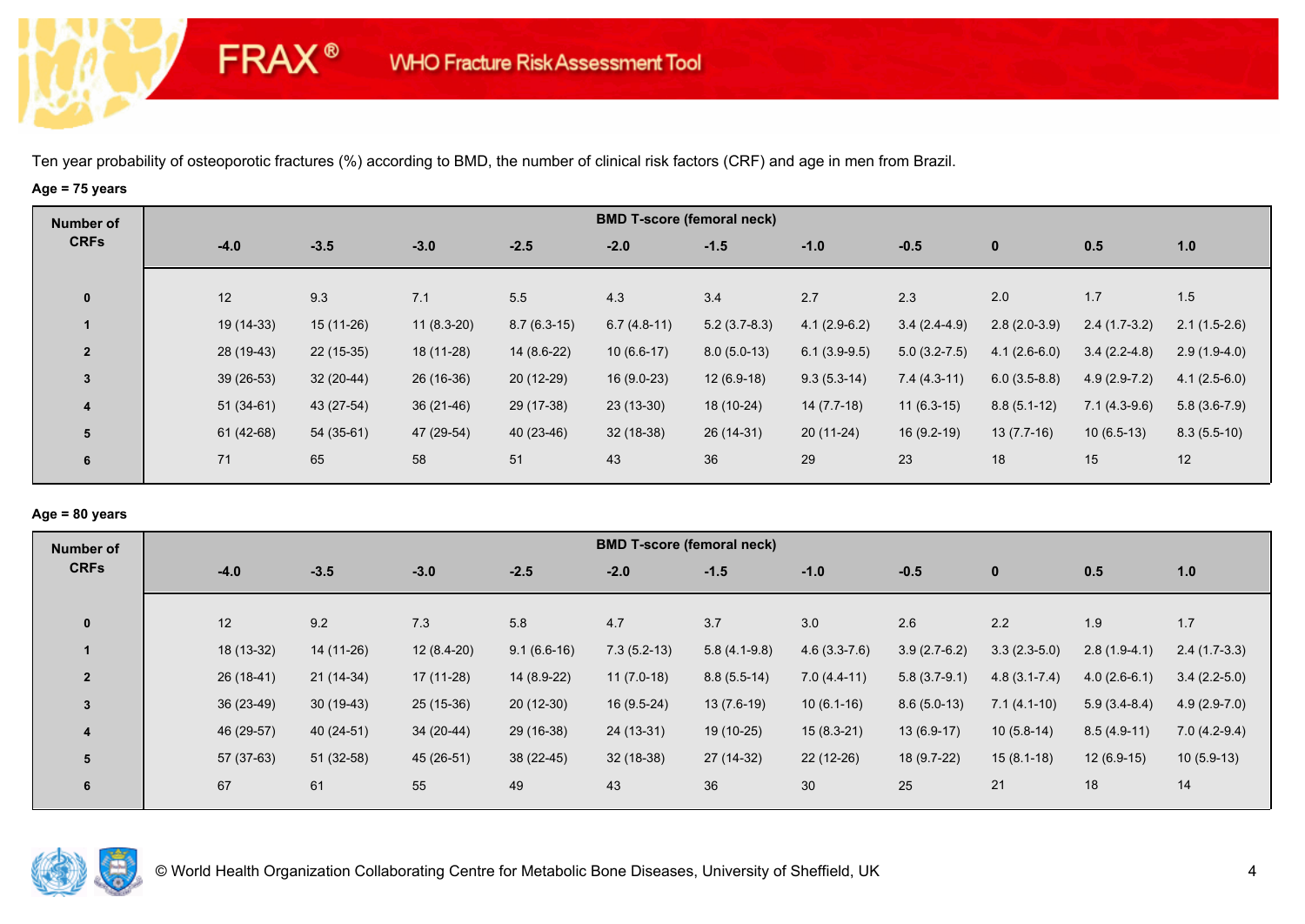# **Age = 75 years**

**FRAX®** 

| Number of               |             |             |              |               |               | <b>BMD T-score (femoral neck)</b> |                |                  |                |                |                |
|-------------------------|-------------|-------------|--------------|---------------|---------------|-----------------------------------|----------------|------------------|----------------|----------------|----------------|
| <b>CRFs</b>             | $-4.0$      | $-3.5$      | $-3.0$       | $-2.5$        | $-2.0$        | $-1.5$                            | $-1.0$         | $-0.5$           | $\bf{0}$       | 0.5            | 1.0            |
|                         |             |             |              |               |               |                                   |                |                  |                |                |                |
| $\bf{0}$                | 12          | 9.3         | 7.1          | 5.5           | 4.3           | 3.4                               | 2.7            | 2.3              | 2.0            | 1.7            | 1.5            |
|                         | 19 (14-33)  | $15(11-26)$ | $11(8.3-20)$ | $8.7(6.3-15)$ | $6.7(4.8-11)$ | $5.2(3.7-8.3)$                    | $4.1(2.9-6.2)$ | $3.4(2.4-4.9)$   | $2.8(2.0-3.9)$ | $2.4(1.7-3.2)$ | $2.1(1.5-2.6)$ |
| $\overline{2}$          | 28 (19-43)  | $22(15-35)$ | 18 (11-28)   | 14 (8.6-22)   | $10(6.6-17)$  | $8.0(5.0-13)$                     | $6.1(3.9-9.5)$ | $5.0(3.2 - 7.5)$ | $4.1(2.6-6.0)$ | $3.4(2.2-4.8)$ | $2.9(1.9-4.0)$ |
| 3                       | $39(26-53)$ | $32(20-44)$ | 26 (16-36)   | $20(12-29)$   | $16(9.0-23)$  | $12(6.9-18)$                      | $9.3(5.3-14)$  | $7.4(4.3-11)$    | $6.0(3.5-8.8)$ | $4.9(2.9-7.2)$ | $4.1(2.5-6.0)$ |
| $\overline{\mathbf{4}}$ | $51(34-61)$ | 43 (27-54)  | $36(21-46)$  | 29 (17-38)    | $23(13-30)$   | 18 (10-24)                        | $14(7.7-18)$   | $11(6.3-15)$     | $8.8(5.1-12)$  | $7.1(4.3-9.6)$ | $5.8(3.6-7.9)$ |
| 5                       | $61(42-68)$ | $54(35-61)$ | 47 (29-54)   | $40(23-46)$   | $32(18-38)$   | 26 (14-31)                        | $20(11-24)$    | $16(9.2-19)$     | $13(7.7-16)$   | $10(6.5-13)$   | $8.3(5.5-10)$  |
| 6                       | 71          | 65          | 58           | 51            | 43            | 36                                | 29             | 23               | 18             | 15             | 12             |
|                         |             |             |              |               |               |                                   |                |                  |                |                |                |

## **Age = 80 years**

| <b>Number of</b> |             |             |              |               | <b>BMD T-score (femoral neck)</b> |                |                |                |                  |                |                |
|------------------|-------------|-------------|--------------|---------------|-----------------------------------|----------------|----------------|----------------|------------------|----------------|----------------|
| <b>CRFs</b>      | $-4.0$      | $-3.5$      | $-3.0$       | $-2.5$        | $-2.0$                            | $-1.5$         | $-1.0$         | $-0.5$         | $\mathbf{0}$     | 0.5            | 1.0            |
|                  |             |             |              |               |                                   |                |                |                |                  |                |                |
| $\mathbf 0$      | 12          | 9.2         | 7.3          | 5.8           | 4.7                               | 3.7            | 3.0            | 2.6            | 2.2              | 1.9            | 1.7            |
|                  | 18 (13-32)  | 14 (11-26)  | $12(8.4-20)$ | $9.1(6.6-16)$ | $7.3(5.2-13)$                     | $5.8(4.1-9.8)$ | $4.6(3.3-7.6)$ | $3.9(2.7-6.2)$ | $3.3(2.3-5.0)$   | $2.8(1.9-4.1)$ | $2.4(1.7-3.3)$ |
| $\overline{2}$   | $26(18-41)$ | $21(14-34)$ | $17(11-28)$  | 14 (8.9-22)   | $11(7.0-18)$                      | $8.8(5.5-14)$  | $7.0(4.4-11)$  | $5.8(3.7-9.1)$ | $4.8(3.1 - 7.4)$ | $4.0(2.6-6.1)$ | $3.4(2.2-5.0)$ |
| $\overline{3}$   | 36 (23-49)  | $30(19-43)$ | $25(15-36)$  | $20(12-30)$   | $16(9.5-24)$                      | $13(7.6-19)$   | $10(6.1-16)$   | $8.6(5.0-13)$  | $7.1(4.1-10)$    | $5.9(3.4-8.4)$ | $4.9(2.9-7.0)$ |
| 4                | 46 (29-57)  | 40 (24-51)  | $34(20-44)$  | 29 (16-38)    | 24 (13-31)                        | 19 (10-25)     | $15(8.3-21)$   | $13(6.9-17)$   | $10(5.8-14)$     | $8.5(4.9-11)$  | $7.0(4.2-9.4)$ |
| 5                | $57(37-63)$ | $51(32-58)$ | 45 (26-51)   | $38(22-45)$   | $32(18-38)$                       | 27 (14-32)     | 22 (12-26)     | 18 (9.7-22)    | $15(8.1-18)$     | $12(6.9-15)$   | $10(5.9-13)$   |
| 6                | 67          | 61          | 55           | 49            | 43                                | 36             | 30             | 25             | 21               | 18             | 14             |
|                  |             |             |              |               |                                   |                |                |                |                  |                |                |